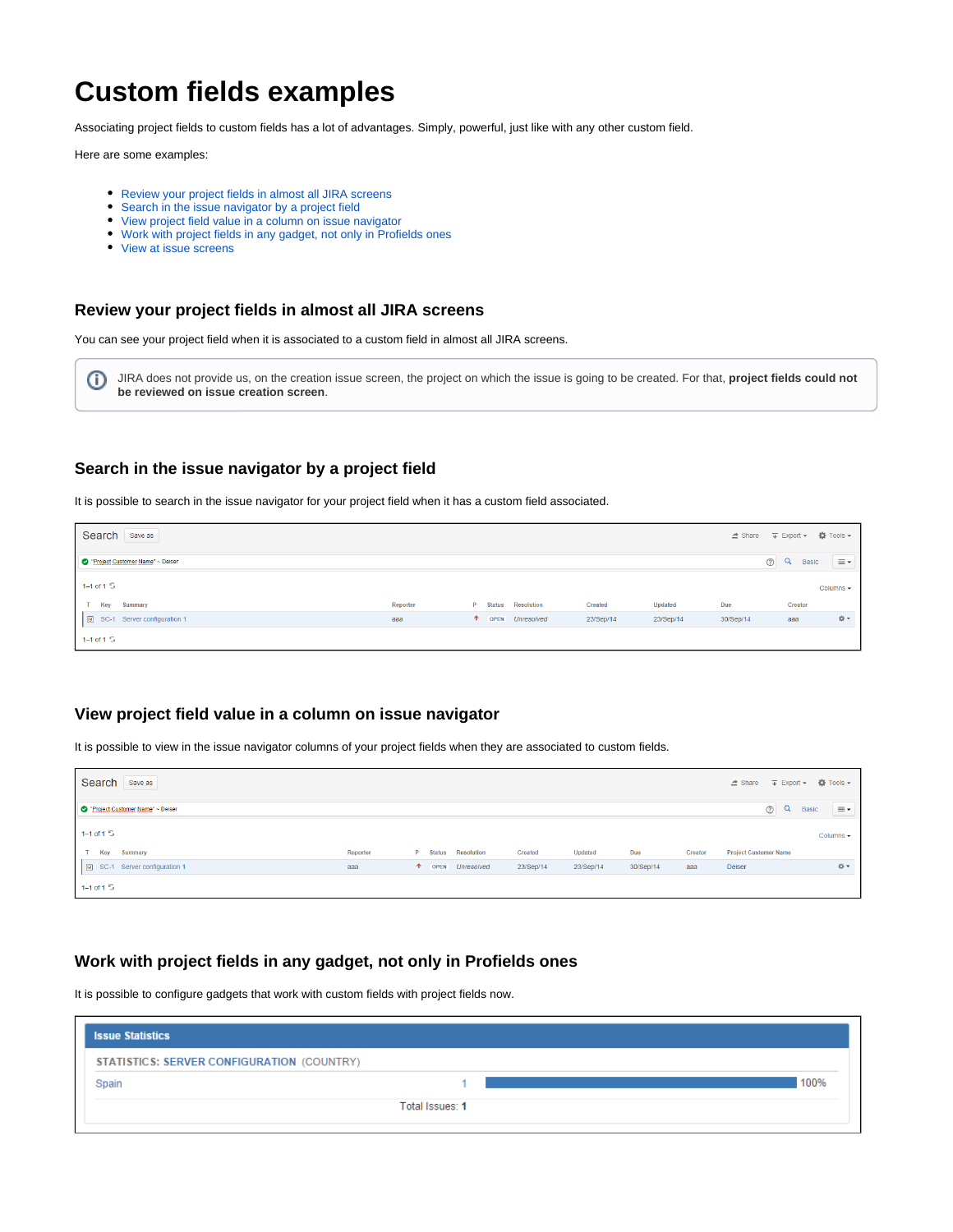# **Custom fields examples**

Associating project fields to custom fields has a lot of advantages. Simply, powerful, just like with any other custom field.

Here are some examples:

- [Review your project fields in almost all JIRA screens](#page-0-0)
- [Search in the issue navigator by a project field](#page-0-1)
- [View project field value in a column on issue navigator](#page-0-2)
- [Work with project fields in any gadget, not only in Profields ones](#page-0-3)
- [View at issue screens](#page-1-0)

# <span id="page-0-0"></span>**Review your project fields in almost all JIRA screens**

You can see your project field when it is associated to a custom field in almost all JIRA screens.



# <span id="page-0-1"></span>**Search in the issue navigator by a project field**

It is possible to search in the issue navigator for your project field when it has a custom field associated.

| Search<br>Save as               |          |          |                   |           |           | de Share $\overline{\Psi}$ Export $\overline{\Psi}$ Tools $\overline{\Psi}$ |         |                  |
|---------------------------------|----------|----------|-------------------|-----------|-----------|-----------------------------------------------------------------------------|---------|------------------|
| Project Customer Name" ~ Deiser |          |          |                   |           |           | $\circledcirc$                                                              | Q Basic | $\equiv$ $\star$ |
| $1-1$ of $1$ $5$                |          |          |                   |           |           |                                                                             |         | Columns $\sim$   |
| T Key Summary                   | Reporter | P Status | <b>Resolution</b> | Created   | Updated   | Due                                                                         | Creator |                  |
| SC-1 Server configuration 1     | aaa      |          | T OPEN Unresolved | 23/Sep/14 | 23/Sep/14 | 30/Sep/14                                                                   | aaa     | ☆▼               |
| 1-1 of 1 $\sqrt{5}$             |          |          |                   |           |           |                                                                             |         |                  |

#### <span id="page-0-2"></span>**View project field value in a column on issue navigator**

It is possible to view in the issue navigator columns of your project fields when they are associated to custom fields.

| Search<br>Save as               |          |  |                     |           |                |           |         | de Share $\overline{\psi}$ Export $\overline{\psi}$ Tools $\overline{\psi}$ |                               |
|---------------------------------|----------|--|---------------------|-----------|----------------|-----------|---------|-----------------------------------------------------------------------------|-------------------------------|
| Project Customer Name" ~ Deiser |          |  |                     |           |                |           |         | $^{\circ}$<br>Q Basic                                                       | $\equiv$ $\star$              |
| 1-1 of 1 $\sqrt{3}$             |          |  |                     |           |                |           |         |                                                                             | Columns $\blacktriangleright$ |
| T Key Summary                   | Reporter |  | P Status Resolution | Created   | <b>Updated</b> | Due       | Creator | <b>Project Customer Name</b>                                                |                               |
| SC-1 Server configuration 1     | aaa      |  | T OPEN Unresolved   | 23/Sep/14 | 23/Sep/14      | 30/Sep/14 | aaa     | <b>Deiser</b>                                                               | 谷▼                            |
| 1-1 of 1 $\sqrt{5}$             |          |  |                     |           |                |           |         |                                                                             |                               |

# <span id="page-0-3"></span>**Work with project fields in any gadget, not only in Profields ones**

It is possible to configure gadgets that work with custom fields with project fields now.

| <b>Issue Statistics</b>                           |                 |      |
|---------------------------------------------------|-----------------|------|
| <b>STATISTICS: SERVER CONFIGURATION (COUNTRY)</b> |                 |      |
| Spain                                             |                 | 100% |
|                                                   | Total Issues: 1 |      |